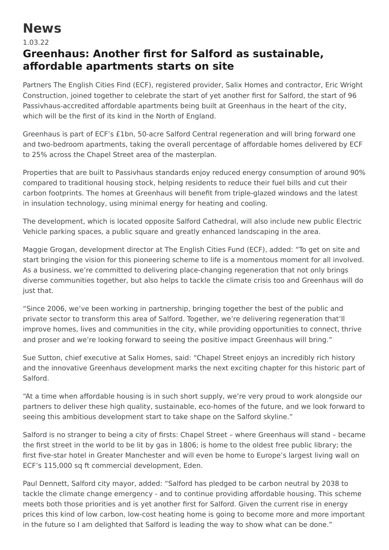## **News**

## 1.03.22

## **Greenhaus: Another first for Salford as sustainable, affordable apartments starts on site**

Partners The English Cities Find (ECF), registered provider, Salix Homes and contractor, Eric Wright Construction, joined together to celebrate the start of yet another first for Salford, the start of 96 Passivhaus-accredited affordable apartments being built at Greenhaus in the heart of the city, which will be the first of its kind in the North of England.

Greenhaus is part of ECF's £1bn, 50-acre Salford Central regeneration and will bring forward one and two-bedroom apartments, taking the overall percentage of affordable homes delivered by ECF to 25% across the Chapel Street area of the masterplan.

Properties that are built to Passivhaus standards enjoy reduced energy consumption of around 90% compared to traditional housing stock, helping residents to reduce their fuel bills and cut their carbon footprints. The homes at Greenhaus will benefit from triple-glazed windows and the latest in insulation technology, using minimal energy for heating and cooling.

The development, which is located opposite Salford Cathedral, will also include new public Electric Vehicle parking spaces, a public square and greatly enhanced landscaping in the area.

Maggie Grogan, development director at The English Cities Fund (ECF), added: "To get on site and start bringing the vision for this pioneering scheme to life is a momentous moment for all involved. As a business, we're committed to delivering place-changing regeneration that not only brings diverse communities together, but also helps to tackle the climate crisis too and Greenhaus will do just that.

"Since 2006, we've been working in partnership, bringing together the best of the public and private sector to transform this area of Salford. Together, we're delivering regeneration that'll improve homes, lives and communities in the city, while providing opportunities to connect, thrive and proser and we're looking forward to seeing the positive impact Greenhaus will bring."

Sue Sutton, chief executive at Salix Homes, said: "Chapel Street enjoys an incredibly rich history and the innovative Greenhaus development marks the next exciting chapter for this historic part of Salford.

"At a time when affordable housing is in such short supply, we're very proud to work alongside our partners to deliver these high quality, sustainable, eco-homes of the future, and we look forward to seeing this ambitious development start to take shape on the Salford skyline."

Salford is no stranger to being a city of firsts: Chapel Street – where Greenhaus will stand – became the first street in the world to be lit by gas in 1806; is home to the oldest free public library; the first five-star hotel in Greater Manchester and will even be home to Europe's largest living wall on ECF's 115,000 sq ft commercial development, Eden.

Paul Dennett, Salford city mayor, added: "Salford has pledged to be carbon neutral by 2038 to tackle the climate change emergency - and to continue providing affordable housing. This scheme meets both those priorities and is yet another first for Salford. Given the current rise in energy prices this kind of low carbon, low-cost heating home is going to become more and more important in the future so I am delighted that Salford is leading the way to show what can be done."